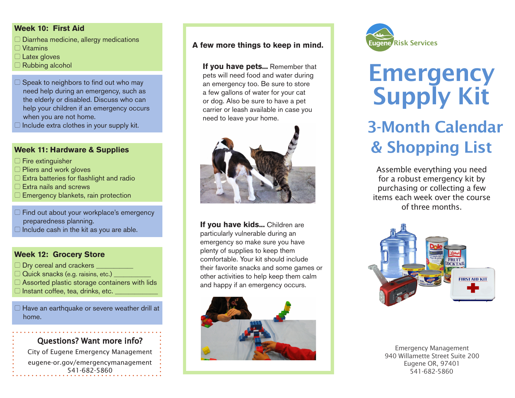#### **Week 10: First Aid**

- $\Box$  Diarrhea medicine, allergy medications
- $\Box$  Vitamins
- 5 Latex gloves
- 5 Rubbing alcohol
- $\Box$  Speak to neighbors to find out who may need help during an emergency, such as the elderly or disabled. Discuss who can help your children if an emergency occurs when you are not home.
- $\Box$  Include extra clothes in your supply kit.

#### **Week 11: Hardware & Supplies**

- $\Box$  Fire extinguisher
- □ Pliers and work gloves
- 5 Extra batteries for flashlight and radio
- $\Box$  Extra nails and screws
- $\Box$  Emergency blankets, rain protection
- $\Box$  Find out about your workplace's emergency preparedness planning.
- $\Box$  Include cash in the kit as you are able.

#### **Week 12: Grocery Store**

- $\Box$  Dry cereal and crackers \_
- $\Box$  Quick snacks (e.g. raisins, etc.) \_
- $\Box$  Assorted plastic storage containers with lids
- $\Box$  Instant coffee, tea, drinks, etc.

 $\Box$  Have an earthquake or severe weather drill at home.

### Questions? Want more info?

City of Eugene Emergency Management eugene-or.gov/emergencymanagement 541-682-5860 541-682-5860

#### **A few more things to keep in mind.**

**If you have pets...** Remember that pets will need food and water during an emergency too. Be sure to store a few gallons of water for your cat or dog. Also be sure to have a pet carrier or leash available in case you need to leave your home.



**If you have kids...** Children are particularly vulnerable during an emergency so make sure you have plenty of supplies to keep them comfortable. Your kit should include their favorite snacks and some games or other activities to help keep them calm and happy if an emergency occurs.





# **Emergency** Supply Kit 3-Month Calendar

## & Shopping List

Assemble everything you need for a robust emergency kit by purchasing or collecting a few items each week over the course of three months.



Emergency Management 940 Willamette Street Suite 200 Eugene OR, 97401